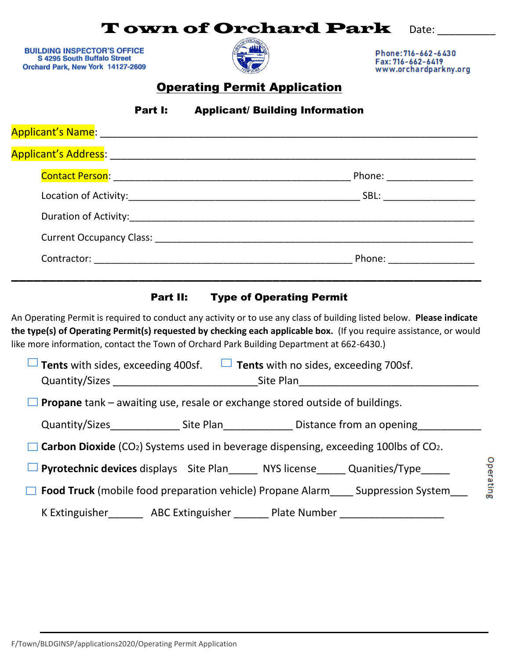# **Town of Orchard Park Date:**

**BUILDING INSPECTOR'S OFFICE** S 4295 South Buffalo Street Orchard Park, New York 14127-2609



Phone: 716-662-6430 Fax: 716-662-6419 www.orchardparkny.org

# Operating Permit Application

Part I: Applicant/ Building Information

| Applicant's Address: _________                               |                           |
|--------------------------------------------------------------|---------------------------|
| Contact Person: National Person State of the Contact Person: | Phone: ____________       |
|                                                              | SBL: _________________    |
|                                                              |                           |
| Current Occupancy Class: ______________                      |                           |
|                                                              | Phone: <u>___________</u> |
|                                                              |                           |

### Part II: Type of Operating Permit

An Operating Permit is required to conduct any activity or to use any class of building listed below. **Please indicate the type(s) of Operating Permit(s) requested by checking each applicable box.** (If you require assistance, or would like more information, contact the Town of Orchard Park Building Department at 662-6430.)

| Tents with sides, exceeding 400sf.<br><b>Tents</b> with no sides, exceeding 700sf.<br>щ<br>Quantity/Sizes<br>Site Plan |  |                                                                                           |  |
|------------------------------------------------------------------------------------------------------------------------|--|-------------------------------------------------------------------------------------------|--|
| <b>Propane</b> tank – awaiting use, resale or exchange stored outside of buildings.                                    |  |                                                                                           |  |
| Quantity/Sizes Site Plan Sistance from an opening                                                                      |  |                                                                                           |  |
| <b>Carbon Dioxide</b> (CO <sub>2</sub> ) Systems used in beverage dispensing, exceeding 100lbs of CO <sub>2</sub> .    |  |                                                                                           |  |
|                                                                                                                        |  | <b>Pyrotechnic devices</b> displays Site Plan______ NYS license______ Quanities/Type_____ |  |
| <b>Food Truck</b> (mobile food preparation vehicle) Propane Alarm Suppression System                                   |  |                                                                                           |  |
| K Extinguisher__________ ABC Extinguisher ________ Plate Number                                                        |  |                                                                                           |  |